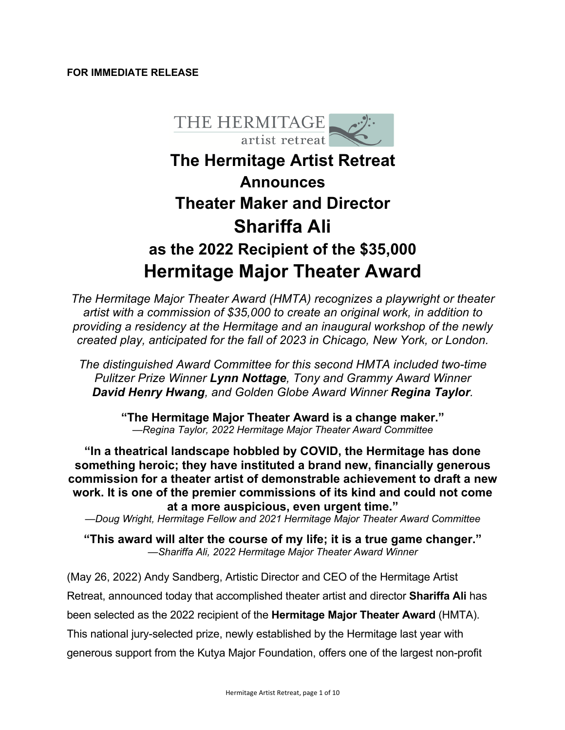## **FOR IMMEDIATE RELEASE**



# **The Hermitage Artist Retreat Announces Theater Maker and Director Shariffa Ali as the 2022 Recipient of the \$35,000 Hermitage Major Theater Award**

*The Hermitage Major Theater Award (HMTA) recognizes a playwright or theater artist with a commission of \$35,000 to create an original work, in addition to providing a residency at the Hermitage and an inaugural workshop of the newly created play, anticipated for the fall of 2023 in Chicago, New York, or London.* 

*The distinguished Award Committee for this second HMTA included two-time Pulitzer Prize Winner Lynn Nottage, Tony and Grammy Award Winner David Henry Hwang, and Golden Globe Award Winner Regina Taylor.* 

> **"The Hermitage Major Theater Award is a change maker."** *—Regina Taylor, 2022 Hermitage Major Theater Award Committee*

**"In a theatrical landscape hobbled by COVID, the Hermitage has done something heroic; they have instituted a brand new, financially generous commission for a theater artist of demonstrable achievement to draft a new work. It is one of the premier commissions of its kind and could not come at a more auspicious, even urgent time."**

*—Doug Wright, Hermitage Fellow and 2021 Hermitage Major Theater Award Committee*

**"This award will alter the course of my life; it is a true game changer."** *—Shariffa Ali, 2022 Hermitage Major Theater Award Winner*

(May 26, 2022) Andy Sandberg, Artistic Director and CEO of the Hermitage Artist Retreat, announced today that accomplished theater artist and director **Shariffa Ali** has been selected as the 2022 recipient of the **Hermitage Major Theater Award** (HMTA). This national jury-selected prize, newly established by the Hermitage last year with generous support from the Kutya Major Foundation, offers one of the largest non-profit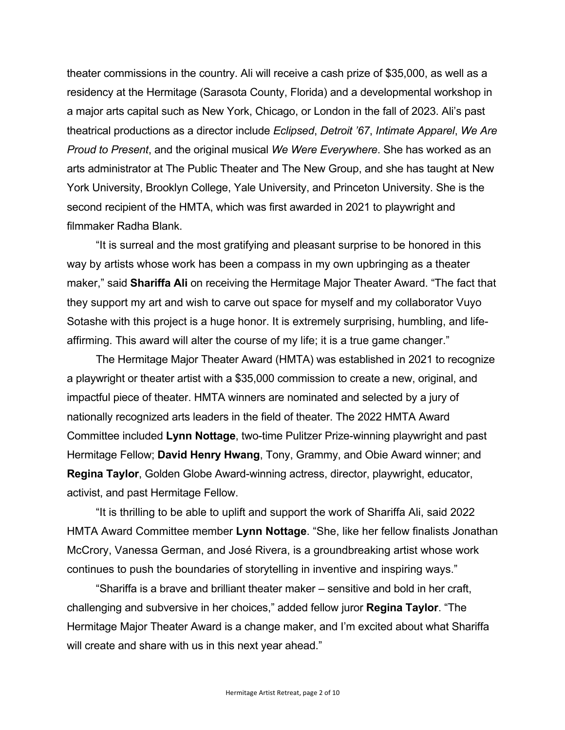theater commissions in the country. Ali will receive a cash prize of \$35,000, as well as a residency at the Hermitage (Sarasota County, Florida) and a developmental workshop in a major arts capital such as New York, Chicago, or London in the fall of 2023. Ali's past theatrical productions as a director include *Eclipsed*, *Detroit '67*, *Intimate Apparel*, *We Are Proud to Present*, and the original musical *We Were Everywhere*. She has worked as an arts administrator at The Public Theater and The New Group, and she has taught at New York University, Brooklyn College, Yale University, and Princeton University. She is the second recipient of the HMTA, which was first awarded in 2021 to playwright and filmmaker Radha Blank.

"It is surreal and the most gratifying and pleasant surprise to be honored in this way by artists whose work has been a compass in my own upbringing as a theater maker," said **Shariffa Ali** on receiving the Hermitage Major Theater Award. "The fact that they support my art and wish to carve out space for myself and my collaborator Vuyo Sotashe with this project is a huge honor. It is extremely surprising, humbling, and lifeaffirming. This award will alter the course of my life; it is a true game changer."

The Hermitage Major Theater Award (HMTA) was established in 2021 to recognize a playwright or theater artist with a \$35,000 commission to create a new, original, and impactful piece of theater. HMTA winners are nominated and selected by a jury of nationally recognized arts leaders in the field of theater. The 2022 HMTA Award Committee included **Lynn Nottage**, two-time Pulitzer Prize-winning playwright and past Hermitage Fellow; **David Henry Hwang**, Tony, Grammy, and Obie Award winner; and **Regina Taylor**, Golden Globe Award-winning actress, director, playwright, educator, activist, and past Hermitage Fellow.

"It is thrilling to be able to uplift and support the work of Shariffa Ali, said 2022 HMTA Award Committee member **Lynn Nottage**. "She, like her fellow finalists Jonathan McCrory, Vanessa German, and José Rivera, is a groundbreaking artist whose work continues to push the boundaries of storytelling in inventive and inspiring ways."

"Shariffa is a brave and brilliant theater maker – sensitive and bold in her craft, challenging and subversive in her choices," added fellow juror **Regina Taylor**. "The Hermitage Major Theater Award is a change maker, and I'm excited about what Shariffa will create and share with us in this next year ahead."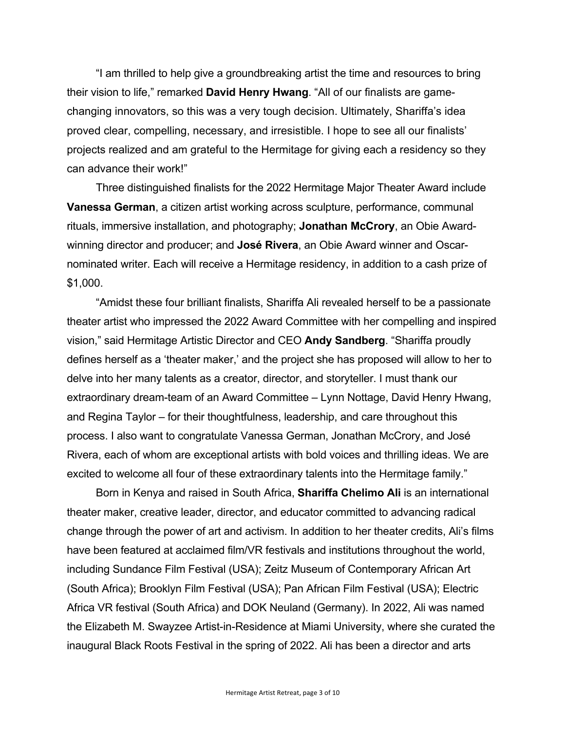"I am thrilled to help give a groundbreaking artist the time and resources to bring their vision to life," remarked **David Henry Hwang**. "All of our finalists are gamechanging innovators, so this was a very tough decision. Ultimately, Shariffa's idea proved clear, compelling, necessary, and irresistible. I hope to see all our finalists' projects realized and am grateful to the Hermitage for giving each a residency so they can advance their work!"

Three distinguished finalists for the 2022 Hermitage Major Theater Award include **Vanessa German**, a citizen artist working across sculpture, performance, communal rituals, immersive installation, and photography; **Jonathan McCrory**, an Obie Awardwinning director and producer; and **José Rivera**, an Obie Award winner and Oscarnominated writer. Each will receive a Hermitage residency, in addition to a cash prize of \$1,000.

"Amidst these four brilliant finalists, Shariffa Ali revealed herself to be a passionate theater artist who impressed the 2022 Award Committee with her compelling and inspired vision," said Hermitage Artistic Director and CEO **Andy Sandberg**. "Shariffa proudly defines herself as a 'theater maker,' and the project she has proposed will allow to her to delve into her many talents as a creator, director, and storyteller. I must thank our extraordinary dream-team of an Award Committee – Lynn Nottage, David Henry Hwang, and Regina Taylor – for their thoughtfulness, leadership, and care throughout this process. I also want to congratulate Vanessa German, Jonathan McCrory, and José Rivera, each of whom are exceptional artists with bold voices and thrilling ideas. We are excited to welcome all four of these extraordinary talents into the Hermitage family."

Born in Kenya and raised in South Africa, **Shariffa Chelimo Ali** is an international theater maker, creative leader, director, and educator committed to advancing radical change through the power of art and activism. In addition to her theater credits, Ali's films have been featured at acclaimed film/VR festivals and institutions throughout the world, including Sundance Film Festival (USA); Zeitz Museum of Contemporary African Art (South Africa); Brooklyn Film Festival (USA); Pan African Film Festival (USA); Electric Africa VR festival (South Africa) and DOK Neuland (Germany). In 2022, Ali was named the Elizabeth M. Swayzee Artist-in-Residence at Miami University, where she curated the inaugural Black Roots Festival in the spring of 2022. Ali has been a director and arts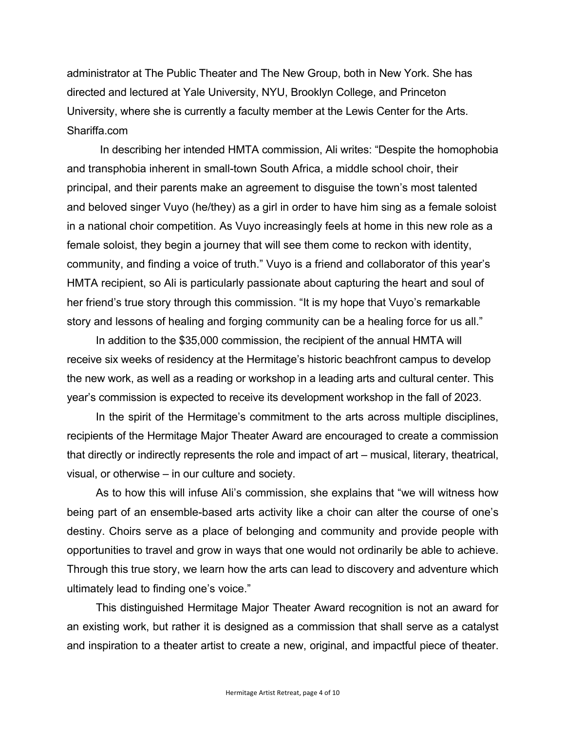administrator at The Public Theater and The New Group, both in New York. She has directed and lectured at Yale University, NYU, Brooklyn College, and Princeton University, where she is currently a faculty member at the Lewis Center for the Arts. Shariffa.com

In describing her intended HMTA commission, Ali writes: "Despite the homophobia and transphobia inherent in small-town South Africa, a middle school choir, their principal, and their parents make an agreement to disguise the town's most talented and beloved singer Vuyo (he/they) as a girl in order to have him sing as a female soloist in a national choir competition. As Vuyo increasingly feels at home in this new role as a female soloist, they begin a journey that will see them come to reckon with identity, community, and finding a voice of truth." Vuyo is a friend and collaborator of this year's HMTA recipient, so Ali is particularly passionate about capturing the heart and soul of her friend's true story through this commission. "It is my hope that Vuyo's remarkable story and lessons of healing and forging community can be a healing force for us all."

In addition to the \$35,000 commission, the recipient of the annual HMTA will receive six weeks of residency at the Hermitage's historic beachfront campus to develop the new work, as well as a reading or workshop in a leading arts and cultural center. This year's commission is expected to receive its development workshop in the fall of 2023.

In the spirit of the Hermitage's commitment to the arts across multiple disciplines, recipients of the Hermitage Major Theater Award are encouraged to create a commission that directly or indirectly represents the role and impact of art – musical, literary, theatrical, visual, or otherwise – in our culture and society.

As to how this will infuse Ali's commission, she explains that "we will witness how being part of an ensemble-based arts activity like a choir can alter the course of one's destiny. Choirs serve as a place of belonging and community and provide people with opportunities to travel and grow in ways that one would not ordinarily be able to achieve. Through this true story, we learn how the arts can lead to discovery and adventure which ultimately lead to finding one's voice."

This distinguished Hermitage Major Theater Award recognition is not an award for an existing work, but rather it is designed as a commission that shall serve as a catalyst and inspiration to a theater artist to create a new, original, and impactful piece of theater.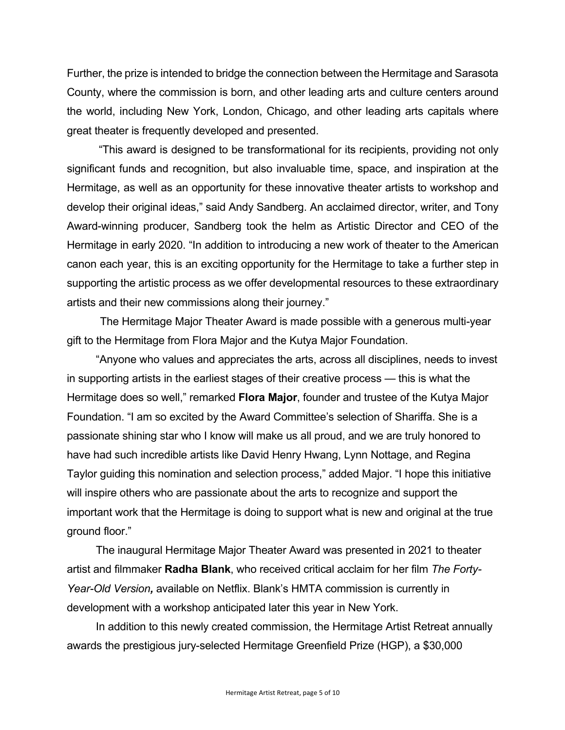Further, the prize is intended to bridge the connection between the Hermitage and Sarasota County, where the commission is born, and other leading arts and culture centers around the world, including New York, London, Chicago, and other leading arts capitals where great theater is frequently developed and presented.

"This award is designed to be transformational for its recipients, providing not only significant funds and recognition, but also invaluable time, space, and inspiration at the Hermitage, as well as an opportunity for these innovative theater artists to workshop and develop their original ideas," said Andy Sandberg. An acclaimed director, writer, and Tony Award-winning producer, Sandberg took the helm as Artistic Director and CEO of the Hermitage in early 2020. "In addition to introducing a new work of theater to the American canon each year, this is an exciting opportunity for the Hermitage to take a further step in supporting the artistic process as we offer developmental resources to these extraordinary artists and their new commissions along their journey."

The Hermitage Major Theater Award is made possible with a generous multi-year gift to the Hermitage from Flora Major and the Kutya Major Foundation.

"Anyone who values and appreciates the arts, across all disciplines, needs to invest in supporting artists in the earliest stages of their creative process — this is what the Hermitage does so well," remarked **Flora Major**, founder and trustee of the Kutya Major Foundation. "I am so excited by the Award Committee's selection of Shariffa. She is a passionate shining star who I know will make us all proud, and we are truly honored to have had such incredible artists like David Henry Hwang, Lynn Nottage, and Regina Taylor guiding this nomination and selection process," added Major. "I hope this initiative will inspire others who are passionate about the arts to recognize and support the important work that the Hermitage is doing to support what is new and original at the true ground floor."

The inaugural Hermitage Major Theater Award was presented in 2021 to theater artist and filmmaker **Radha Blank**, who received critical acclaim for her film *The Forty-Year-Old Version,* available on Netflix. Blank's HMTA commission is currently in development with a workshop anticipated later this year in New York.

In addition to this newly created commission, the Hermitage Artist Retreat annually awards the prestigious jury-selected Hermitage Greenfield Prize (HGP), a \$30,000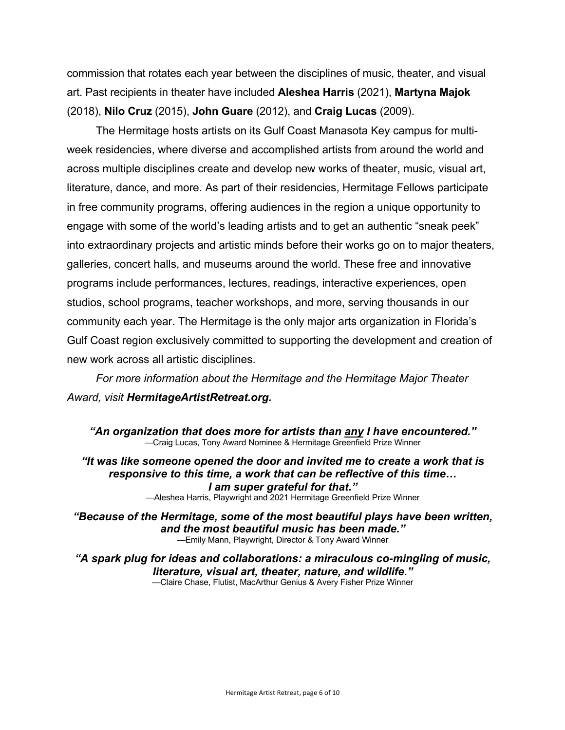commission that rotates each year between the disciplines of music, theater, and visual art. Past recipients in theater have included **Aleshea Harris** (2021), **Martyna Majok** (2018), **Nilo Cruz** (2015), **John Guare** (2012), and **Craig Lucas** (2009).

The Hermitage hosts artists on its Gulf Coast Manasota Key campus for multiweek residencies, where diverse and accomplished artists from around the world and across multiple disciplines create and develop new works of theater, music, visual art, literature, dance, and more. As part of their residencies, Hermitage Fellows participate in free community programs, offering audiences in the region a unique opportunity to engage with some of the world's leading artists and to get an authentic "sneak peek" into extraordinary projects and artistic minds before their works go on to major theaters, galleries, concert halls, and museums around the world. These free and innovative programs include performances, lectures, readings, interactive experiences, open studios, school programs, teacher workshops, and more, serving thousands in our community each year. The Hermitage is the only major arts organization in Florida's Gulf Coast region exclusively committed to supporting the development and creation of new work across all artistic disciplines.

*For more information about the Hermitage and the Hermitage Major Theater Award, visit HermitageArtistRetreat.org.*

*"An organization that does more for artists than any I have encountered."* —Craig Lucas, Tony Award Nominee & Hermitage Greenfield Prize Winner

*"It was like someone opened the door and invited me to create a work that is responsive to this time, a work that can be reflective of this time… I am super grateful for that."*

—Aleshea Harris, Playwright and 2021 Hermitage Greenfield Prize Winner

*"Because of the Hermitage, some of the most beautiful plays have been written, and the most beautiful music has been made."* —Emily Mann, Playwright, Director & Tony Award Winner

*"A spark plug for ideas and collaborations: a miraculous co-mingling of music, literature, visual art, theater, nature, and wildlife."* —Claire Chase, Flutist, MacArthur Genius & Avery Fisher Prize Winner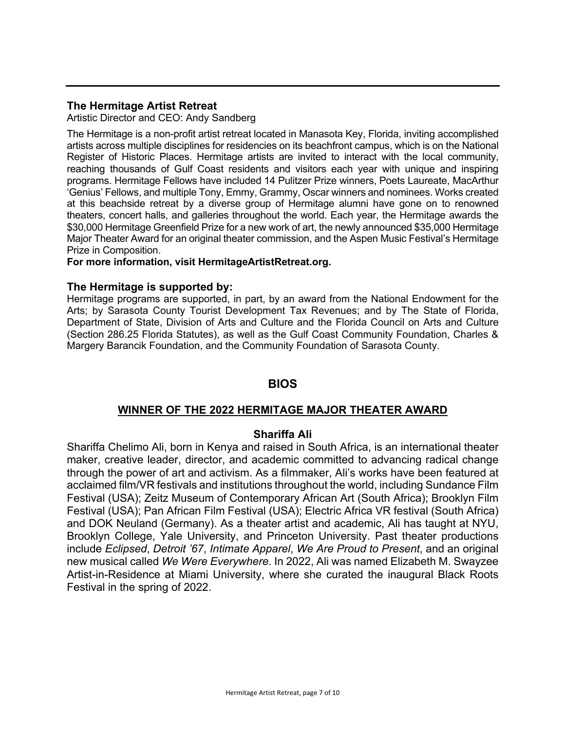# **The Hermitage Artist Retreat**

Artistic Director and CEO: Andy Sandberg

The Hermitage is a non-profit artist retreat located in Manasota Key, Florida, inviting accomplished artists across multiple disciplines for residencies on its beachfront campus, which is on the National Register of Historic Places. Hermitage artists are invited to interact with the local community, reaching thousands of Gulf Coast residents and visitors each year with unique and inspiring programs. Hermitage Fellows have included 14 Pulitzer Prize winners, Poets Laureate, MacArthur 'Genius' Fellows, and multiple Tony, Emmy, Grammy, Oscar winners and nominees. Works created at this beachside retreat by a diverse group of Hermitage alumni have gone on to renowned theaters, concert halls, and galleries throughout the world. Each year, the Hermitage awards the \$30,000 Hermitage Greenfield Prize for a new work of art, the newly announced \$35,000 Hermitage Major Theater Award for an original theater commission, and the Aspen Music Festival's Hermitage Prize in Composition.

## **For more information, visit HermitageArtistRetreat.org.**

## **The Hermitage is supported by:**

Hermitage programs are supported, in part, by an award from the National Endowment for the Arts; by Sarasota County Tourist Development Tax Revenues; and by The State of Florida, Department of State, Division of Arts and Culture and the Florida Council on Arts and Culture (Section 286.25 Florida Statutes), as well as the Gulf Coast Community Foundation, Charles & Margery Barancik Foundation, and the Community Foundation of Sarasota County.

# **BIOS**

# **WINNER OF THE 2022 HERMITAGE MAJOR THEATER AWARD**

# **Shariffa Ali**

Shariffa Chelimo Ali, born in Kenya and raised in South Africa, is an international theater maker, creative leader, director, and academic committed to advancing radical change through the power of art and activism. As a filmmaker, Ali's works have been featured at acclaimed film/VR festivals and institutions throughout the world, including Sundance Film Festival (USA); Zeitz Museum of Contemporary African Art (South Africa); Brooklyn Film Festival (USA); Pan African Film Festival (USA); Electric Africa VR festival (South Africa) and DOK Neuland (Germany). As a theater artist and academic, Ali has taught at NYU, Brooklyn College, Yale University, and Princeton University. Past theater productions include *Eclipsed*, *Detroit '67*, *Intimate Apparel*, *We Are Proud to Present*, and an original new musical called *We Were Everywhere*. In 2022, Ali was named Elizabeth M. Swayzee Artist-in-Residence at Miami University, where she curated the inaugural Black Roots Festival in the spring of 2022.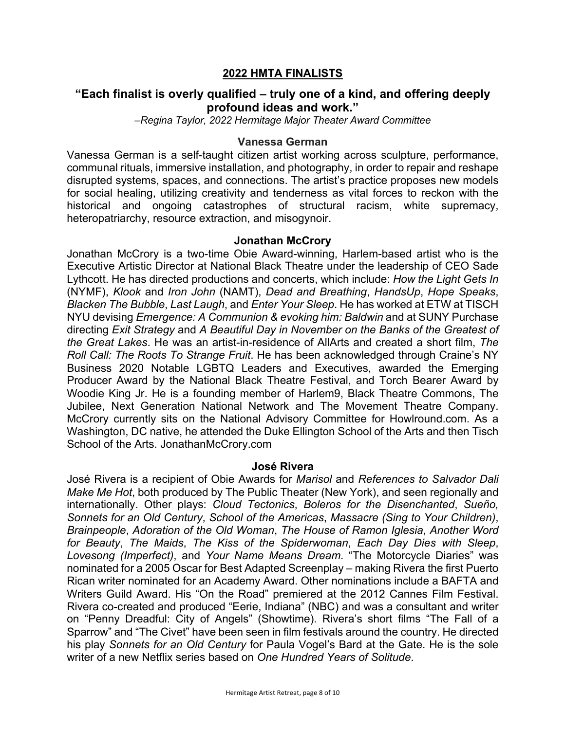# **2022 HMTA FINALISTS**

# **"Each finalist is overly qualified – truly one of a kind, and offering deeply profound ideas and work."**

*–Regina Taylor, 2022 Hermitage Major Theater Award Committee* 

#### **Vanessa German**

Vanessa German is a self-taught citizen artist working across sculpture, performance, communal rituals, immersive installation, and photography, in order to repair and reshape disrupted systems, spaces, and connections. The artist's practice proposes new models for social healing, utilizing creativity and tenderness as vital forces to reckon with the historical and ongoing catastrophes of structural racism, white supremacy, heteropatriarchy, resource extraction, and misogynoir.

#### **Jonathan McCrory**

Jonathan McCrory is a two-time Obie Award-winning, Harlem-based artist who is the Executive Artistic Director at National Black Theatre under the leadership of CEO Sade Lythcott. He has directed productions and concerts, which include: *How the Light Gets In* (NYMF), *Klook* and *Iron John* (NAMT), *Dead and Breathing*, *HandsUp*, *Hope Speaks*, *Blacken The Bubble*, *Last Laugh*, and *Enter Your Sleep*. He has worked at ETW at TISCH NYU devising *Emergence: A Communion & evoking him: Baldwin* and at SUNY Purchase directing *Exit Strategy* and *A Beautiful Day in November on the Banks of the Greatest of the Great Lakes*. He was an artist-in-residence of AllArts and created a short film, *The Roll Call: The Roots To Strange Fruit*. He has been acknowledged through Craine's NY Business 2020 Notable LGBTQ Leaders and Executives, awarded the Emerging Producer Award by the National Black Theatre Festival, and Torch Bearer Award by Woodie King Jr. He is a founding member of Harlem9, Black Theatre Commons, The Jubilee, Next Generation National Network and The Movement Theatre Company. McCrory currently sits on the National Advisory Committee for Howlround.com. As a Washington, DC native, he attended the Duke Ellington School of the Arts and then Tisch School of the Arts. JonathanMcCrory.com

#### **José Rivera**

José Rivera is a recipient of Obie Awards for *Marisol* and *References to Salvador Dali Make Me Hot*, both produced by The Public Theater (New York), and seen regionally and internationally. Other plays: *Cloud Tectonics*, *Boleros for the Disenchanted*, *Sueño, Sonnets for an Old Century*, *School of the Americas*, *Massacre (Sing to Your Children)*, *Brainpeople*, *Adoration of the Old Woman*, *The House of Ramon Iglesia*, *Another Word for Beauty*, *The Maids*, *The Kiss of the Spiderwoman*, *Each Day Dies with Sleep*, *Lovesong (Imperfect)*, and *Your Name Means Dream*. "The Motorcycle Diaries" was nominated for a 2005 Oscar for Best Adapted Screenplay – making Rivera the first Puerto Rican writer nominated for an Academy Award. Other nominations include a BAFTA and Writers Guild Award. His "On the Road" premiered at the 2012 Cannes Film Festival. Rivera co-created and produced "Eerie, Indiana" (NBC) and was a consultant and writer on "Penny Dreadful: City of Angels" (Showtime). Rivera's short films "The Fall of a Sparrow" and "The Civet" have been seen in film festivals around the country. He directed his play *Sonnets for an Old Century* for Paula Vogel's Bard at the Gate. He is the sole writer of a new Netflix series based on *One Hundred Years of Solitude*.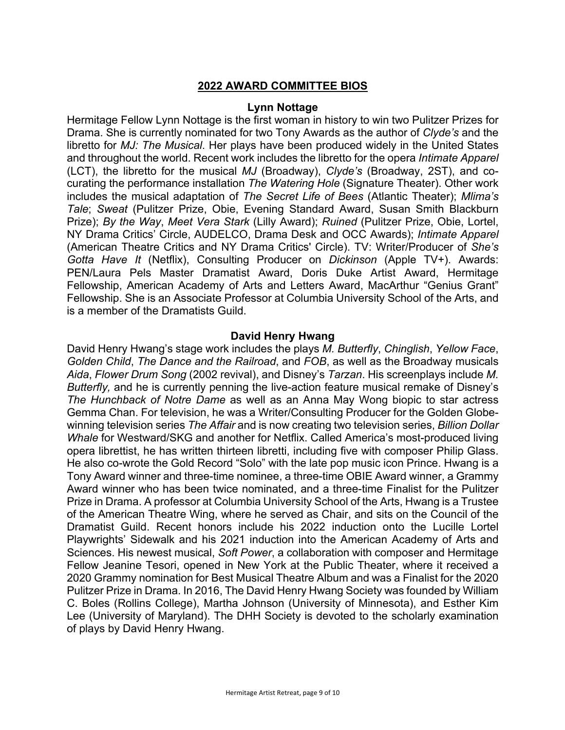# **2022 AWARD COMMITTEE BIOS**

#### **Lynn Nottage**

Hermitage Fellow Lynn Nottage is the first woman in history to win two Pulitzer Prizes for Drama. She is currently nominated for two Tony Awards as the author of *Clyde's* and the libretto for *MJ: The Musical*. Her plays have been produced widely in the United States and throughout the world. Recent work includes the libretto for the opera *Intimate Apparel* (LCT), the libretto for the musical *MJ* (Broadway), *Clyde's* (Broadway, 2ST), and cocurating the performance installation *The Watering Hole* (Signature Theater). Other work includes the musical adaptation of *The Secret Life of Bees* (Atlantic Theater); *Mlima's Tale*; *Sweat* (Pulitzer Prize, Obie, Evening Standard Award, Susan Smith Blackburn Prize); *By the Way*, *Meet Vera Stark* (Lilly Award); *Ruined* (Pulitzer Prize, Obie, Lortel, NY Drama Critics' Circle, AUDELCO, Drama Desk and OCC Awards); *Intimate Apparel* (American Theatre Critics and NY Drama Critics' Circle). TV: Writer/Producer of *She's Gotta Have It* (Netflix), Consulting Producer on *Dickinson* (Apple TV+). Awards: PEN/Laura Pels Master Dramatist Award, Doris Duke Artist Award, Hermitage Fellowship, American Academy of Arts and Letters Award, MacArthur "Genius Grant" Fellowship. She is an Associate Professor at Columbia University School of the Arts, and is a member of the Dramatists Guild.

## **David Henry Hwang**

David Henry Hwang's stage work includes the plays *M. Butterfly*, *Chinglish*, *Yellow Face*, *Golden Child*, *The Dance and the Railroad*, and *FOB*, as well as the Broadway musicals *Aida*, *Flower Drum Song* (2002 revival), and Disney's *Tarzan*. His screenplays include *M. Butterfly,* and he is currently penning the live-action feature musical remake of Disney's *The Hunchback of Notre Dame* as well as an Anna May Wong biopic to star actress Gemma Chan. For television, he was a Writer/Consulting Producer for the Golden Globewinning television series *The Affair* and is now creating two television series, *Billion Dollar Whale* for Westward/SKG and another for Netflix. Called America's most-produced living opera librettist, he has written thirteen libretti, including five with composer Philip Glass. He also co-wrote the Gold Record "Solo" with the late pop music icon Prince. Hwang is a Tony Award winner and three-time nominee, a three-time OBIE Award winner, a Grammy Award winner who has been twice nominated, and a three-time Finalist for the Pulitzer Prize in Drama. A professor at Columbia University School of the Arts, Hwang is a Trustee of the American Theatre Wing, where he served as Chair, and sits on the Council of the Dramatist Guild. Recent honors include his 2022 induction onto the Lucille Lortel Playwrights' Sidewalk and his 2021 induction into the American Academy of Arts and Sciences. His newest musical, *Soft Power*, a collaboration with composer and Hermitage Fellow Jeanine Tesori, opened in New York at the Public Theater, where it received a 2020 Grammy nomination for Best Musical Theatre Album and was a Finalist for the 2020 Pulitzer Prize in Drama. In 2016, The David Henry Hwang Society was founded by William C. Boles (Rollins College), Martha Johnson (University of Minnesota), and Esther Kim Lee (University of Maryland). The DHH Society is devoted to the scholarly examination of plays by David Henry Hwang.